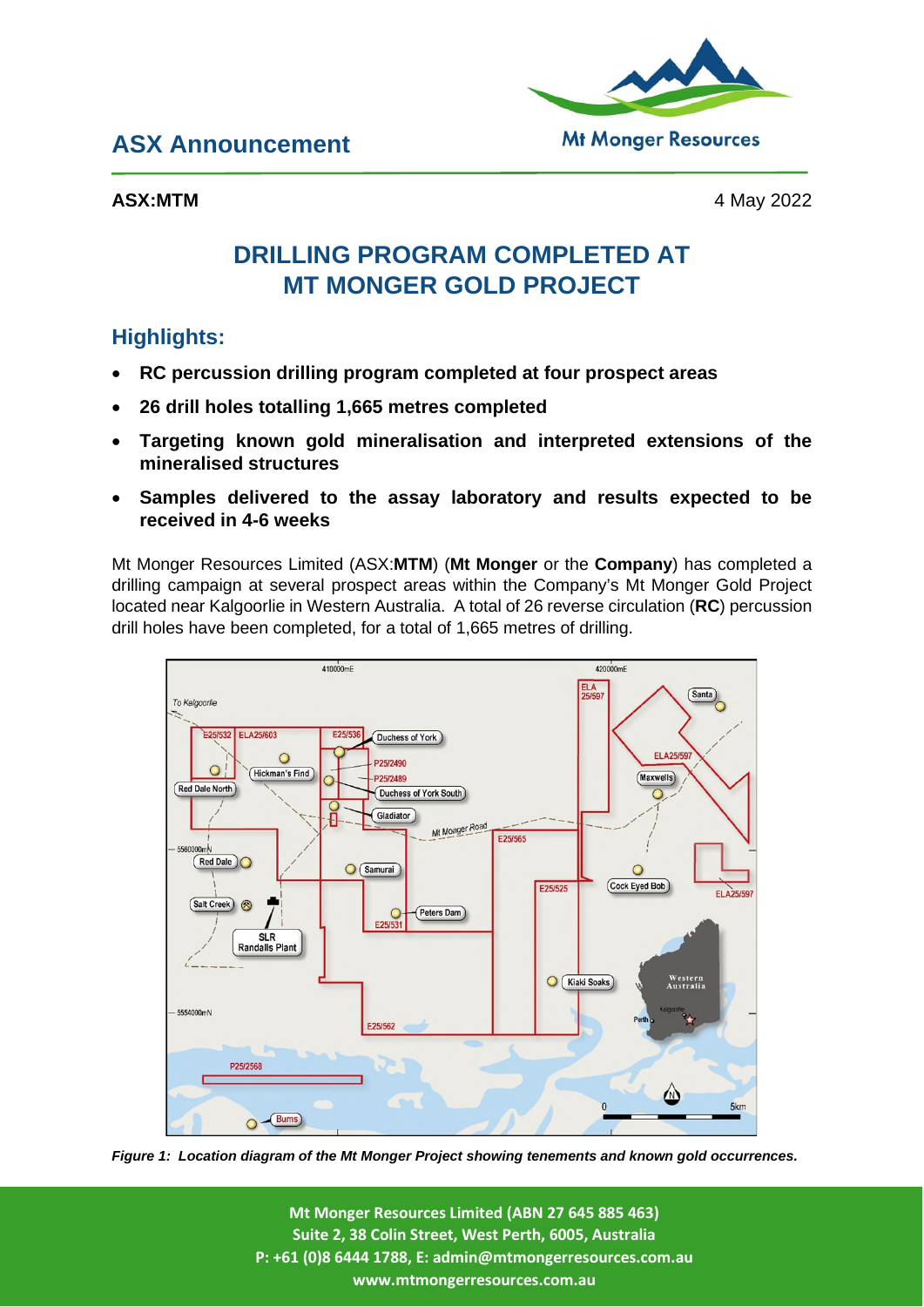## **ASX Announcement**

**ASX:MTM** 4 May 2022

**Mt Monger Resources** 

# **DRILLING PROGRAM COMPLETED AT MT MONGER GOLD PROJECT**

## **Highlights:**

- **RC percussion drilling program completed at four prospect areas**
- **26 drill holes totalling 1,665 metres completed**
- **Targeting known gold mineralisation and interpreted extensions of the mineralised structures**
- **Samples delivered to the assay laboratory and results expected to be received in 4-6 weeks**

Mt Monger Resources Limited (ASX:**MTM**) (**Mt Monger** or the **Company**) has completed a drilling campaign at several prospect areas within the Company's Mt Monger Gold Project located near Kalgoorlie in Western Australia. A total of 26 reverse circulation (**RC**) percussion drill holes have been completed, for a total of 1,665 metres of drilling.



*Figure 1: Location diagram of the Mt Monger Project showing tenements and known gold occurrences.* 

**Mt Monger Resources Limited (ABN 27 645 885 463) Suite 2, 38 Colin Street, West Perth, 6005, Australia P: +61 (0)8 6444 1788, E: admin@mtmongerresources.com.au www.mtmongerresources.com.au**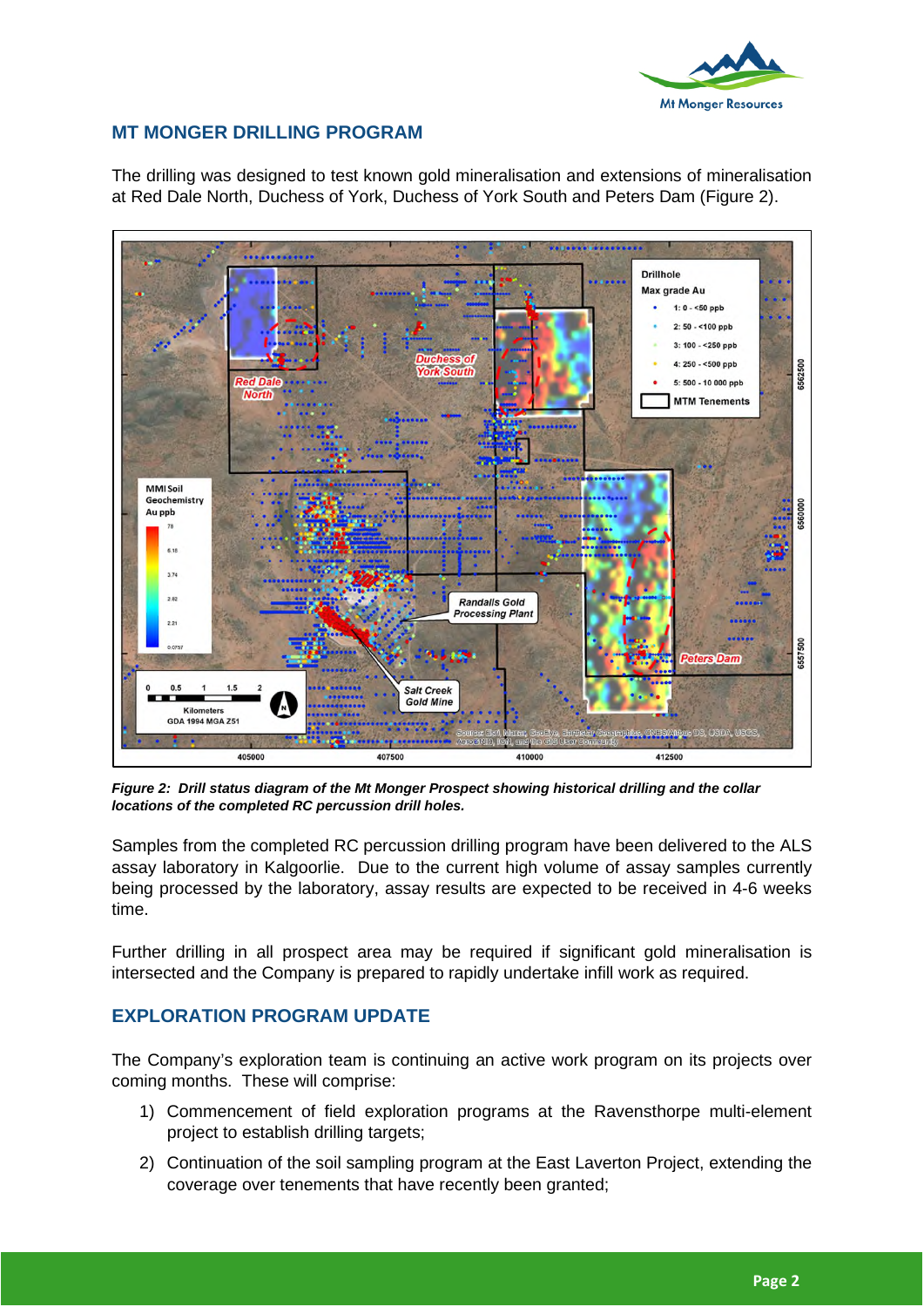

### **MT MONGER DRILLING PROGRAM**

The drilling was designed to test known gold mineralisation and extensions of mineralisation at Red Dale North, Duchess of York, Duchess of York South and Peters Dam (Figure 2).



*Figure 2: Drill status diagram of the Mt Monger Prospect showing historical drilling and the collar locations of the completed RC percussion drill holes.* 

Samples from the completed RC percussion drilling program have been delivered to the ALS assay laboratory in Kalgoorlie. Due to the current high volume of assay samples currently being processed by the laboratory, assay results are expected to be received in 4-6 weeks time.

Further drilling in all prospect area may be required if significant gold mineralisation is intersected and the Company is prepared to rapidly undertake infill work as required.

#### **EXPLORATION PROGRAM UPDATE**

The Company's exploration team is continuing an active work program on its projects over coming months. These will comprise:

- 1) Commencement of field exploration programs at the Ravensthorpe multi-element project to establish drilling targets;
- 2) Continuation of the soil sampling program at the East Laverton Project, extending the coverage over tenements that have recently been granted;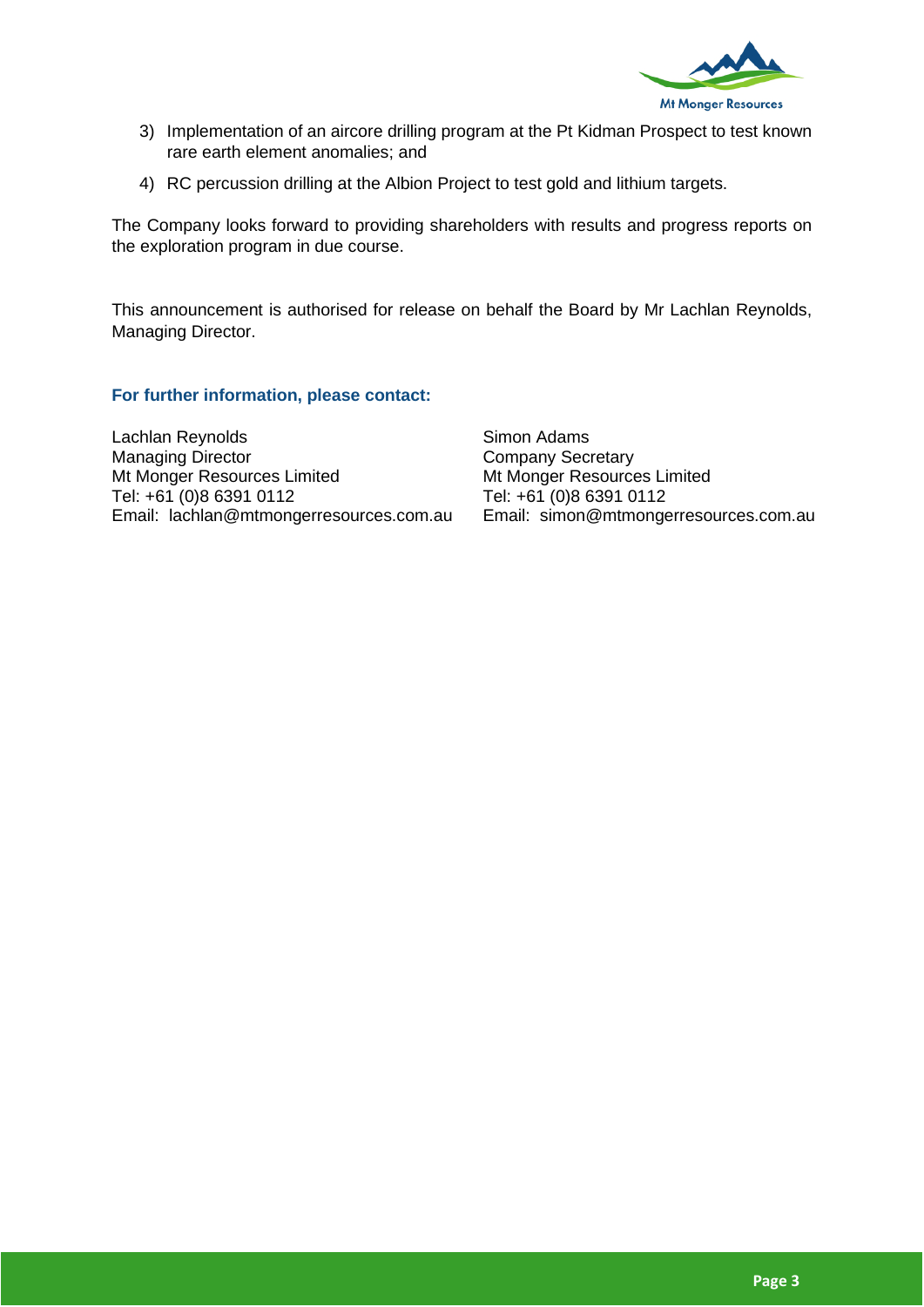

- 3) Implementation of an aircore drilling program at the Pt Kidman Prospect to test known rare earth element anomalies; and
- 4) RC percussion drilling at the Albion Project to test gold and lithium targets.

The Company looks forward to providing shareholders with results and progress reports on the exploration program in due course.

This announcement is authorised for release on behalf the Board by Mr Lachlan Reynolds, Managing Director.

**For further information, please contact:** 

Lachlan Reynolds Managing Director Mt Monger Resources Limited Tel: +61 (0)8 6391 0112 Email: lachlan@mtmongerresources.com.au Simon Adams Company Secretary Mt Monger Resources Limited Tel: +61 (0)8 6391 0112 Email: simon@mtmongerresources.com.au